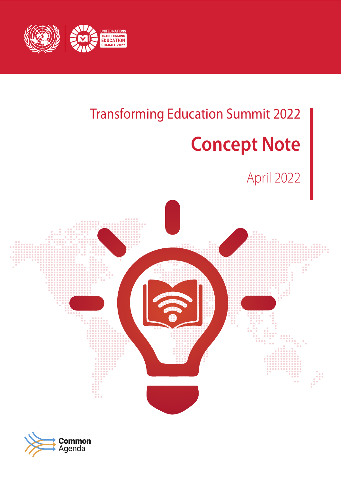

# Transforming Education Summit 2022 **Concept Note**

April 2022



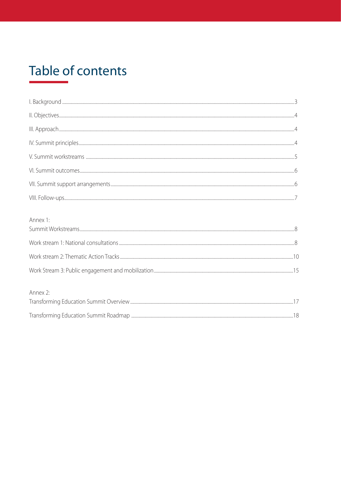# Table of contents

| Annex 1:                                                                                                                                                                                                                                                                       |  |
|--------------------------------------------------------------------------------------------------------------------------------------------------------------------------------------------------------------------------------------------------------------------------------|--|
|                                                                                                                                                                                                                                                                                |  |
|                                                                                                                                                                                                                                                                                |  |
|                                                                                                                                                                                                                                                                                |  |
|                                                                                                                                                                                                                                                                                |  |
| Annex 2:                                                                                                                                                                                                                                                                       |  |
| $\tau$ ( $\tau$ , $\tau$ ) ( $\tau$ ) ( $\tau$ ) ( $\tau$ ) ( $\tau$ ) ( $\tau$ ) ( $\tau$ ) ( $\tau$ ) ( $\tau$ ) ( $\tau$ ) ( $\tau$ ) ( $\tau$ ) ( $\tau$ ) ( $\tau$ ) ( $\tau$ ) ( $\tau$ ) ( $\tau$ ) ( $\tau$ ) ( $\tau$ ) ( $\tau$ ) ( $\tau$ ) ( $\tau$ ) ( $\tau$ ) ( |  |

| Transforming Education Summit Roadmap |  |
|---------------------------------------|--|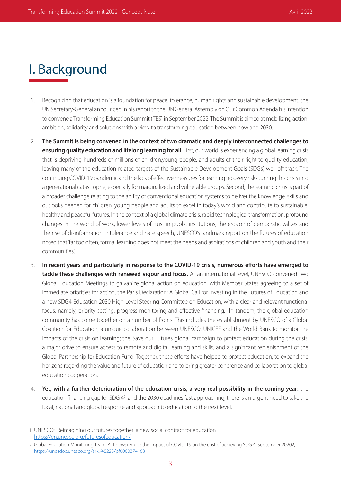# I. Background

- 1. Recognizing that education is a foundation for peace, tolerance, human rights and sustainable development, the UN Secretary-General announced in his report to the UN General Assembly on Our Common Agenda his intention to convene a Transforming Education Summit (TES) in September 2022. The Summit is aimed at mobilizing action, ambition, solidarity and solutions with a view to transforming education between now and 2030.
- 2. **The Summit is being convened in the context of two dramatic and deeply interconnected challenges to ensuring quality education and lifelong learning for all**. First, our world is experiencing a global learning crisis that is depriving hundreds of millions of children,young people, and adults of their right to quality education, leaving many of the education-related targets of the Sustainable Development Goals (SDGs) well off track. The continuing COVID-19 pandemic and the lack of effective measures for learning recovery risks turning this crisis into a generational catastrophe, especially for marginalized and vulnerable groups. Second, the learning crisis is part of a broader challenge relating to the ability of conventional education systems to deliver the knowledge, skills and outlooks needed for children, young people and adults to excel in today's world and contribute to sustainable, healthy and peaceful futures. In the context of a global climate crisis, rapid technological transformation, profound changes in the world of work, lower levels of trust in public institutions, the erosion of democratic values and the rise of disinformation, intolerance and hate speech, UNESCO's landmark report on the futures of education noted that 'far too often, formal learning does not meet the needs and aspirations of children and youth and their communities'.1
- 3. **In recent years and particularly in response to the COVID-19 crisis, numerous efforts have emerged to tackle these challenges with renewed vigour and focus.** At an international level, UNESCO convened two Global Education Meetings to galvanize global action on education, with Member States agreeing to a set of immediate priorities for action, the Paris Declaration: A Global Call for Investing in the Futures of Education and a new SDG4-Education 2030 High-Level Steering Committee on Education, with a clear and relevant functional focus, namely, priority setting, progress monitoring and effective financing. In tandem, the global education community has come together on a number of fronts. This includes the establishment by UNESCO of a Global Coalition for Education; a unique collaboration between UNESCO, UNICEF and the World Bank to monitor the impacts of the crisis on learning; the 'Save our Futures' global campaign to protect education during the crisis; a major drive to ensure access to remote and digital learning and skills; and a significant replenishment of the Global Partnership for Education Fund. Together, these efforts have helped to protect education, to expand the horizons regarding the value and future of education and to bring greater coherence and collaboration to global education cooperation.
- 4. **Yet, with a further deterioration of the education crisis, a very real possibility in the coming year:** the education financing gap for SDG 4<sup>2</sup>; and the 2030 deadlines fast approaching, there is an urgent need to take the local, national and global response and approach to education to the next level.

<sup>1</sup> UNESCO: Reimagining our futures together: a new social contract for education https://en.unesco.org/futuresofeducation/

<sup>2</sup> Global Education Monitoring Team, Act now: reduce the impact of COVID-19 on the cost of achieving SDG 4, September 20202, https://unesdoc.unesco.org/ark:/48223/pf0000374163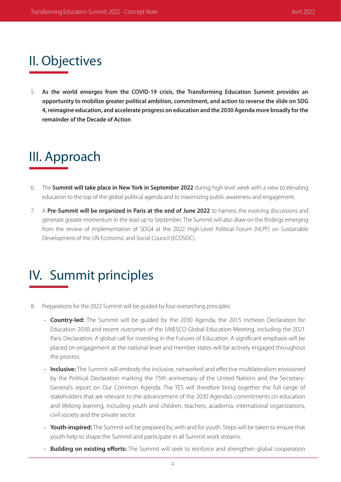### II. Objectives

5. **As the world emerges from the COVID-19 crisis, the Transforming Education Summit provides an opportunity to mobilize greater political ambition, commitment, and action to reverse the slide on SDG 4, reimagine education, and accelerate progress on education and the 2030 Agenda more broadly for the remainder of the Decade of Action**.

# III. Approach

- 6. The **Summit will take place in New York in September 2022** during high level week with a view to elevating education to the top of the global political agenda and to maximizing public awareness and engagement.
- 7. A **Pre-Summit will be organized in Paris at the end of June 2022** to harness the evolving discussions and generate greater momentum in the lead up to September. The Summit will also draw on the findings emerging from the review of implementation of SDG4 at the 2022 High-Level Political Forum (HLPF) on Sustainable Development of the UN Economic and Social Council (ECOSOC).

# IV. Summit principles

- 8. Preparations for the 2022 Summit will be guided by four overarching principles:
	- **Country-led:** The Summit will be guided by the 2030 Agenda, the 2015 Incheon Declaration for Education 2030 and recent outcomes of the UNESCO Global Education Meeting, including the 2021 Paris Declaration: A global call for investing in the Futures of Education. A significant emphasis will be placed on engagement at the national level and member states will be actively engaged throughout the process.
	- **Inclusive:** The Summit will embody the inclusive, networked and effective multilateralism envisioned by the Political Declaration marking the 75th anniversary of the United Nations and the Secretary-General's report on Our Common Agenda. The TES will therefore bring together the full range of stakeholders that are relevant to the advancement of the 2030 Agenda's commitments on education and lifelong learning, including youth and children, teachers, academia, international organizations, civil society and the private sector.
	- **Youth-inspired:** The Summit will be prepared by, with and for youth. Steps will be taken to ensure that youth help to shape the Summit and participate in all Summit work streams.
	- **Building on existing efforts:** The Summit will seek to reinforce and strengthen global cooperation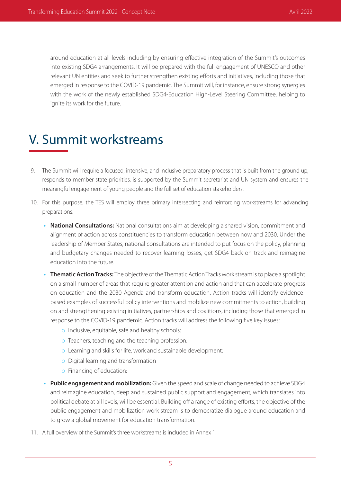around education at all levels including by ensuring effective integration of the Summit's outcomes into existing SDG4 arrangements. It will be prepared with the full engagement of UNESCO and other relevant UN entities and seek to further strengthen existing efforts and initiatives, including those that emerged in response to the COVID-19 pandemic. The Summit will, for instance, ensure strong synergies with the work of the newly established SDG4-Education High-Level Steering Committee, helping to ignite its work for the future.

# V. Summit workstreams

- 9. The Summit will require a focused, intensive, and inclusive preparatory process that is built from the ground up, responds to member state priorities, is supported by the Summit secretariat and UN system and ensures the meaningful engagement of young people and the full set of education stakeholders.
- 10. For this purpose, the TES will employ three primary intersecting and reinforcing workstreams for advancing preparations.
	- **• National Consultations:** National consultations aim at developing a shared vision, commitment and alignment of action across constituencies to transform education between now and 2030. Under the leadership of Member States, national consultations are intended to put focus on the policy, planning and budgetary changes needed to recover learning losses, get SDG4 back on track and reimagine education into the future.
	- **• Thematic Action Tracks:** The objective of the Thematic Action Tracks work stream is to place a spotlight on a small number of areas that require greater attention and action and that can accelerate progress on education and the 2030 Agenda and transform education. Action tracks will identify evidencebased examples of successful policy interventions and mobilize new commitments to action, building on and strengthening existing initiatives, partnerships and coalitions, including those that emerged in response to the COVID-19 pandemic. Action tracks will address the following five key issues:
		- o Inclusive, equitable, safe and healthy schools:
		- o Teachers, teaching and the teaching profession:
		- o Learning and skills for life, work and sustainable development:
		- o Digital learning and transformation
		- o Financing of education:
	- **• Public engagement and mobilization:** Given the speed and scale of change needed to achieve SDG4 and reimagine education, deep and sustained public support and engagement, which translates into political debate at all levels, will be essential. Building off a range of existing efforts, the objective of the public engagement and mobilization work stream is to democratize dialogue around education and to grow a global movement for education transformation.
- 11. A full overview of the Summit's three workstreams is included in Annex 1.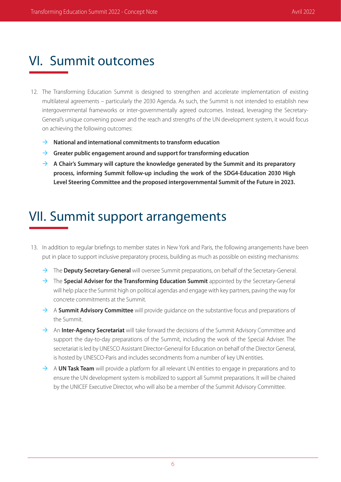### VI. Summit outcomes

- 12. The Transforming Education Summit is designed to strengthen and accelerate implementation of existing multilateral agreements – particularly the 2030 Agenda. As such, the Summit is not intended to establish new intergovernmental frameworks or inter-governmentally agreed outcomes. Instead, leveraging the Secretary-General's unique convening power and the reach and strengths of the UN development system, it would focus on achieving the following outcomes:
	- **→** National and international commitments to transform education
	- → Greater public engagement around and support for transforming education
	- $\rightarrow$  A Chair's Summary will capture the knowledge generated by the Summit and its preparatory **process, informing Summit follow-up including the work of the SDG4-Education 2030 High Level Steering Committee and the proposed intergovernmental Summit of the Future in 2023.**

### VII. Summit support arrangements

- 13. In addition to regular briefings to member states in New York and Paris, the following arrangements have been put in place to support inclusive preparatory process, building as much as possible on existing mechanisms:
	- → The **Deputy Secretary-General** will oversee Summit preparations, on behalf of the Secretary-General.
	- $\rightarrow$  The **Special Adviser for the Transforming Education Summit** appointed by the Secretary-General will help place the Summit high on political agendas and engage with key partners, paving the way for concrete commitments at the Summit.
	- → A **Summit Advisory Committee** will provide quidance on the substantive focus and preparations of the Summit.
	- An **Inter-Agency Secretariat** will take forward the decisions of the Summit Advisory Committee and support the day-to-day preparations of the Summit, including the work of the Special Adviser. The secretariat is led by UNESCO Assistant Director-General for Education on behalf of the Director General, is hosted by UNESCO-Paris and includes secondments from a number of key UN entities.
	- $\rightarrow$  A **UN Task Team** will provide a platform for all relevant UN entities to engage in preparations and to ensure the UN development system is mobilized to support all Summit preparations. It will be chaired by the UNICEF Executive Director, who will also be a member of the Summit Advisory Committee.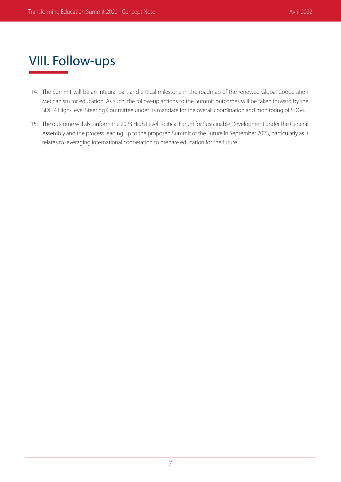# VIII. Follow-ups

- 14. The Summit will be an integral part and critical milestone in the roadmap of the renewed Global Cooperation Mechanism for education. As such, the follow-up actions to the Summit outcomes will be taken forward by the SDG 4 High-Level Steering Committee under its mandate for the overall coordination and monitoring of SDG4.
- 15. The outcome will also inform the 2023 High Level Political Forum for Sustainable Development under the General Assembly and the process leading up to the proposed Summit of the Future in September 2023, particularly as it relates to leveraging international cooperation to prepare education for the future.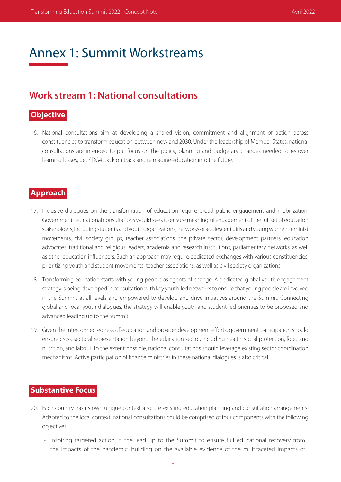# Annex 1: Summit Workstreams

### **Work stream 1: National consultations**

#### **Objective**

16. National consultations aim at developing a shared vision, commitment and alignment of action across constituencies to transform education between now and 2030. Under the leadership of Member States, national consultations are intended to put focus on the policy, planning and budgetary changes needed to recover learning losses, get SDG4 back on track and reimagine education into the future.

#### **Approach**

- 17. Inclusive dialogues on the transformation of education require broad public engagement and mobilization. Government-led national consultations would seek to ensure meaningful engagement of the full set of education stakeholders, including students and youth organizations, networks of adolescent girls and young women, feminist movements, civil society groups, teacher associations, the private sector, development partners, education advocates, traditional and religious leaders, academia and research institutions, parliamentary networks, as well as other education influencers. Such an approach may require dedicated exchanges with various constituencies, prioritizing youth and student movements, teacher associations, as well as civil society organizations.
- 18. Transforming education starts with young people as agents of change. A dedicated global youth engagement strategy is being developed in consultation with key youth-led networks to ensure that young people are involved in the Summit at all levels and empowered to develop and drive initiatives around the Summit. Connecting global and local youth dialogues, the strategy will enable youth and student-led priorities to be proposed and advanced leading up to the Summit.
- 19. Given the interconnectedness of education and broader development efforts, government participation should ensure cross-sectoral representation beyond the education sector, including health, social protection, food and nutrition, and labour. To the extent possible, national consultations should leverage existing sector coordination mechanisms. Active participation of finance ministries in these national dialogues is also critical.

#### **Substantive Focus**

- 20. Each country has its own unique context and pre-existing education planning and consultation arrangements. Adapted to the local context, national consultations could be comprised of four components with the following objectives:
	- Inspiring targeted action in the lead up to the Summit to ensure full educational recovery from the impacts of the pandemic, building on the available evidence of the multifaceted impacts of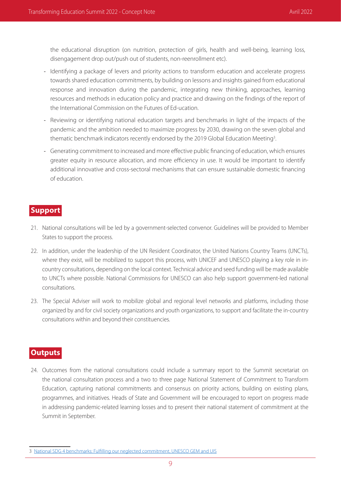the educational disruption (on nutrition, protection of girls, health and well-being, learning loss, disengagement drop out/push out of students, non-reenrollment etc).

- Identifying a package of levers and priority actions to transform education and accelerate progress towards shared education commitments, by building on lessons and insights gained from educational response and innovation during the pandemic, integrating new thinking, approaches, learning resources and methods in education policy and practice and drawing on the findings of the report of the International Commission on the Futures of Ed-ucation.
- Reviewing or identifying national education targets and benchmarks in light of the impacts of the pandemic and the ambition needed to maximize progress by 2030, drawing on the seven global and thematic benchmark indicators recently endorsed by the 2019 Global Education Meeting<sup>3</sup>.
- Generating commitment to increased and more effective public financing of education, which ensures greater equity in resource allocation, and more efficiency in use. It would be important to identify additional innovative and cross-sectoral mechanisms that can ensure sustainable domestic financing of education.

#### **Support**

- 21. National consultations will be led by a government-selected convenor. Guidelines will be provided to Member States to support the process.
- 22. In addition, under the leadership of the UN Resident Coordinator, the United Nations Country Teams (UNCTs), where they exist, will be mobilized to support this process, with UNICEF and UNESCO playing a key role in incountry consultations, depending on the local context. Technical advice and seed funding will be made available to UNCTs where possible. National Commissions for UNESCO can also help support government-led national consultations.
- 23. The Special Adviser will work to mobilize global and regional level networks and platforms, including those organized by and for civil society organizations and youth organizations, to support and facilitate the in-country consultations within and beyond their constituencies.

#### **Outputs**

24. Outcomes from the national consultations could include a summary report to the Summit secretariat on the national consultation process and a two to three page National Statement of Commitment to Transform Education, capturing national commitments and consensus on priority actions, building on existing plans, programmes, and initiatives. Heads of State and Government will be encouraged to report on progress made in addressing pandemic-related learning losses and to present their national statement of commitment at the Summit in September.

<sup>3</sup> National SDG 4 benchmarks: Fulfilling our neglected commitment, UNESCO GEM and UIS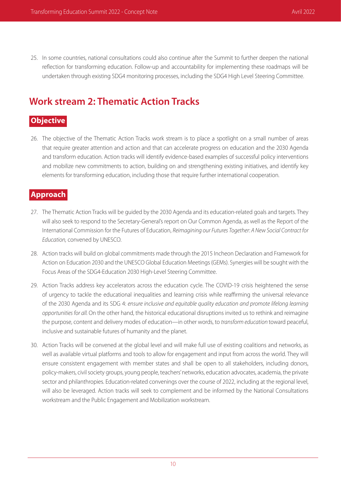25. In some countries, national consultations could also continue after the Summit to further deepen the national reflection for transforming education. Follow-up and accountability for implementing these roadmaps will be undertaken through existing SDG4 monitoring processes, including the SDG4 High Level Steering Committee.

### **Work stream 2: Thematic Action Tracks**

#### **Objective**

26. The objective of the Thematic Action Tracks work stream is to place a spotlight on a small number of areas that require greater attention and action and that can accelerate progress on education and the 2030 Agenda and transform education. Action tracks will identify evidence-based examples of successful policy interventions and mobilize new commitments to action, building on and strengthening existing initiatives, and identify key elements for transforming education, including those that require further international cooperation.

#### **Approach**

- 27. The Thematic Action Tracks will be guided by the 2030 Agenda and its education-related goals and targets. They will also seek to respond to the Secretary-General's report on Our Common Agenda, as well as the Report of the International Commission for the Futures of Education, *Reimagining our Futures Together: A New Social Contract for Education,* convened by UNESCO.
- 28. Action tracks will build on global commitments made through the 2015 Incheon Declaration and Framework for Action on Education 2030 and the UNESCO Global Education Meetings (GEMs). Synergies will be sought with the Focus Areas of the SDG4-Education 2030 High-Level Steering Committee.
- 29. Action Tracks address key accelerators across the education cycle. The COVID-19 crisis heightened the sense of urgency to tackle the educational inequalities and learning crisis while reaffirming the universal relevance of the 2030 Agenda and its SDG 4: *ensure inclusive and equitable quality education and promote lifelong learning opportunities for all.* On the other hand, the historical educational disruptions invited us to rethink and reimagine the purpose, content and delivery modes of education—in other words, to *transform education* toward peaceful, inclusive and sustainable futures of humanity and the planet.
- 30. Action Tracks will be convened at the global level and will make full use of existing coalitions and networks, as well as available virtual platforms and tools to allow for engagement and input from across the world. They will ensure consistent engagement with member states and shall be open to all stakeholders, including donors, policy-makers, civil society groups, young people, teachers' networks, education advocates, academia, the private sector and philanthropies. Education-related convenings over the course of 2022, including at the regional level, will also be leveraged. Action tracks will seek to complement and be informed by the National Consultations workstream and the Public Engagement and Mobilization workstream.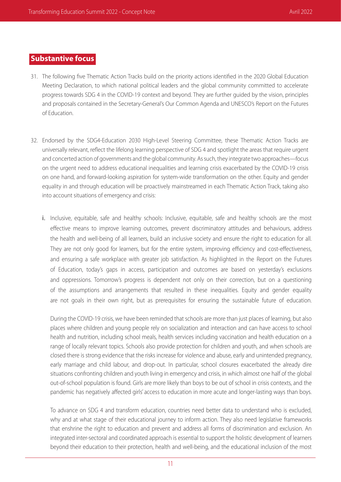#### **Substantive focus**

- 31. The following five Thematic Action Tracks build on the priority actions identified in the 2020 Global Education Meeting Declaration, to which national political leaders and the global community committed to accelerate progress towards SDG 4 in the COVID-19 context and beyond. They are further guided by the vision, principles and proposals contained in the Secretary-General's Our Common Agenda and UNESCO's Report on the Futures of Education.
- 32. Endorsed by the SDG4-Education 2030 High-Level Steering Committee, these Thematic Action Tracks are universally relevant, reflect the lifelong learning perspective of SDG 4 and spotlight the areas that require urgent and concerted action of governments and the global community. As such, they integrate two approaches—focus on the urgent need to address educational inequalities and learning crisis exacerbated by the COVID-19 crisis on one hand, and forward-looking aspiration for system-wide transformation on the other. Equity and gender equality in and through education will be proactively mainstreamed in each Thematic Action Track, taking also into account situations of emergency and crisis:
	- i. Inclusive, equitable, safe and healthy schools: Inclusive, equitable, safe and healthy schools are the most effective means to improve learning outcomes, prevent discriminatory attitudes and behaviours, address the health and well-being of all learners, build an inclusive society and ensure the right to education for all. They are not only good for learners, but for the entire system, improving efficiency and cost-effectiveness, and ensuring a safe workplace with greater job satisfaction. As highlighted in the Report on the Futures of Education, today's gaps in access, participation and outcomes are based on yesterday's exclusions and oppressions. Tomorrow's progress is dependent not only on their correction, but on a questioning of the assumptions and arrangements that resulted in these inequalities. Equity and gender equality are not goals in their own right, but as prerequisites for ensuring the sustainable future of education.

During the COVID-19 crisis, we have been reminded that schools are more than just places of learning, but also places where children and young people rely on socialization and interaction and can have access to school health and nutrition, including school meals, health services including vaccination and health education on a range of locally relevant topics. Schools also provide protection for children and youth, and when schools are closed there is strong evidence that the risks increase for violence and abuse, early and unintended pregnancy, early marriage and child labour, and drop-out. In particular, school closures exacerbated the already dire situations confronting children and youth living in emergency and crisis, in which almost one half of the global out-of-school population is found. Girls are more likely than boys to be out of school in crisis contexts, and the pandemic has negatively affected girls' access to education in more acute and longer-lasting ways than boys.

To advance on SDG 4 and transform education, countries need better data to understand who is excluded, why and at what stage of their educational journey to inform action. They also need legislative frameworks that enshrine the right to education and prevent and address all forms of discrimination and exclusion. An integrated inter-sectoral and coordinated approach is essential to support the holistic development of learners beyond their education to their protection, health and well-being, and the educational inclusion of the most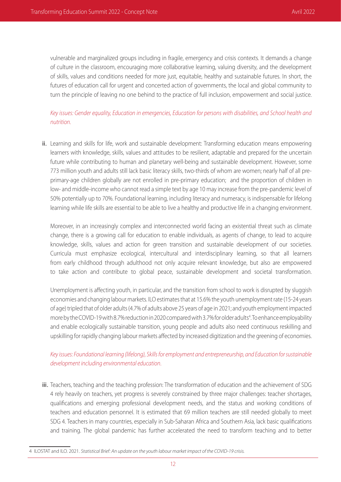vulnerable and marginalized groups including in fragile, emergency and crisis contexts. It demands a change of culture in the classroom, encouraging more collaborative learning, valuing diversity, and the development of skills, values and conditions needed for more just, equitable, healthy and sustainable futures. In short, the futures of education call for urgent and concerted action of governments, the local and global community to turn the principle of leaving no one behind to the practice of full inclusion, empowerment and social justice.

#### *Key issues: Gender equality, Education in emergencies, Education for persons with disabilities, and School health and nutrition.*

ii. Learning and skills for life, work and sustainable development: Transforming education means empowering learners with knowledge, skills, values and attitudes to be resilient, adaptable and prepared for the uncertain future while contributing to human and planetary well-being and sustainable development. However, some 773 million youth and adults still lack basic literacy skills, two-thirds of whom are women; nearly half of all preprimary-age children globally are not enrolled in pre-primary education; and the proportion of children in low- and middle-income who cannot read a simple text by age 10 may increase from the pre-pandemic level of 50% potentially up to 70%. Foundational learning, including literacy and numeracy, is indispensable for lifelong learning while life skills are essential to be able to live a healthy and productive life in a changing environment.

Moreover, in an increasingly complex and interconnected world facing an existential threat such as climate change, there is a growing call for education to enable individuals, as agents of change, to lead to acquire knowledge, skills, values and action for green transition and sustainable development of our societies. Curricula must emphasize ecological, intercultural and interdisciplinary learning, so that all learners from early childhood through adulthood not only acquire relevant knowledge, but also are empowered to take action and contribute to global peace, sustainable development and societal transformation.

Unemployment is affecting youth, in particular, and the transition from school to work is disrupted by sluggish economies and changing labour markets. ILO estimates that at 15.6% the youth unemployment rate (15-24 years of age) tripled that of older adults (4.7% of adults above 25 years of age in 2021; and youth employment impacted more by the COVID-19 with 8.7% reduction in 2020 compared with 3.7% for older adults<sup>4</sup>. To enhance employability and enable ecologically sustainable transition, young people and adults also need continuous reskilling and upskilling for rapidly changing labour markets affected by increased digitization and the greening of economies.

#### *Key issues: Foundational learning (lifelong), Skills for employment and entrepreneurship, and Education for sustainable development including environmental education*.

iii. Teachers, teaching and the teaching profession: The transformation of education and the achievement of SDG 4 rely heavily on teachers, yet progress is severely constrained by three major challenges: teacher shortages, qualifications and emerging professional development needs, and the status and working conditions of teachers and education personnel. It is estimated that 69 million teachers are still needed globally to meet SDG 4. Teachers in many countries, especially in Sub-Saharan Africa and Southern Asia, lack basic qualifications and training. The global pandemic has further accelerated the need to transform teaching and to better

<sup>4</sup> ILOSTAT and ILO. 2021. *Statistical Brief: An update on the youth labour market impact of the COVID-19 crisis.*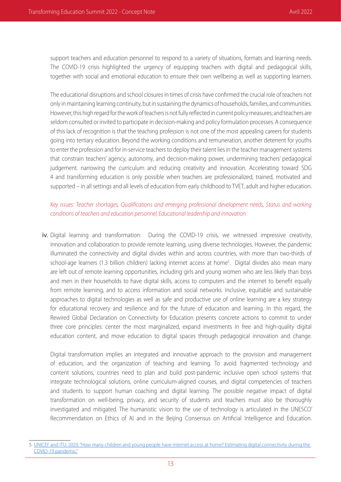support teachers and education personnel to respond to a variety of situations, formats and learning needs. The COVID-19 crisis highlighted the urgency of equipping teachers with digital and pedagogical skills, together with social and emotional education to ensure their own wellbeing as well as supporting learners.

The educational disruptions and school closures in times of crisis have confirmed the crucial role of teachers not only in maintaining learning continuity, but in sustaining the dynamics of households, families, and communities. However, this high regard for the work of teachers is not fully reflected in current policy measures; and teachers are seldom consulted or invited to participate in decision-making and policy formulation processes. A consequence of this lack of recognition is that the teaching profession is not one of the most appealing careers for students going into tertiary education. Beyond the working conditions and remuneration, another deterrent for youths to enter the profession and for in-service teachers to deploy their talent lies in the teacher management systems that constrain teachers' agency, autonomy, and decision-making power, undermining teachers' pedagogical judgement. narrowing the curriculum and reducing creativity and innovation. Accelerating toward SDG 4 and transforming education is only possible when teachers are professionalized, trained, motivated and supported – in all settings and all levels of education from early childhood to TVET, adult and higher education.

#### *Key issues: Teacher shortages, Qualifications and emerging professional development needs, Status and working conditions of teachers and education personnel, Educational leadership and innovation.*

iv. Digital learning and transformation: During the COVID-19 crisis, we witnessed impressive creativity, innovation and collaboration to provide remote learning, using diverse technologies. However, the pandemic illuminated the connectivity and digital divides within and across countries, with more than two-thirds of school-age learners (1.3 billion children) lacking internet access at home<sup>s</sup>. Digital divides also mean many are left out of remote learning opportunities, including girls and young women who are less likely than boys and men in their households to have digital skills, access to computers and the internet to benefit equally from remote learning, and to access information and social networks. Inclusive, equitable and sustainable approaches to digital technologies as well as safe and productive use of online learning are a key strategy for educational recovery and resilience and for the future of education and learning. In this regard, the Rewired Global Declaration on Connectivity for Education presents concrete actions to commit to under three core principles: center the most marginalized, expand investments in free and high-quality digital education content, and move education to digital spaces through pedagogical innovation and change.

Digital transformation implies an integrated and innovative approach to the provision and management of education, and the organization of teaching and learning. To avoid fragmented technology and content solutions, countries need to plan and build post-pandemic inclusive open school systems that integrate technological solutions, online curriculum-aligned courses, and digital competencies of teachers and students to support human coaching and digital learning. The possible negative impact of digital transformation on well-being, privacy, and security of students and teachers must also be thoroughly investigated and mitigated. The humanistic vision to the use of technology is articulated in the UNESCO' Recommendation on Ethics of AI and in the Beijing Consensus on Artificial Intelligence and Education.

<sup>5</sup> UNICEF and ITU. 2020. "How many children and young people have internet access at home? Estimating digital connectivity during the COVID-19 pandemic."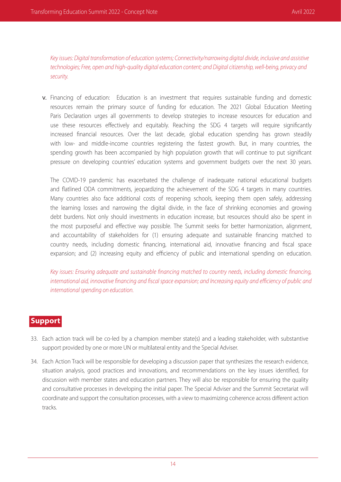*Key issues: Digital transformation of education systems; Connectivity/narrowing digital divide, inclusive and assistive technologies; Free, open and high-quality digital education content; and Digital citizenship, well-being, privacy and security.*

v. Financing of education: Education is an investment that requires sustainable funding and domestic resources remain the primary source of funding for education. The 2021 Global Education Meeting Paris Declaration urges all governments to develop strategies to increase resources for education and use these resources effectively and equitably. Reaching the SDG 4 targets will require significantly increased financial resources. Over the last decade, global education spending has grown steadily with low- and middle-income countries registering the fastest growth. But, in many countries, the spending growth has been accompanied by high population growth that will continue to put significant pressure on developing countries' education systems and government budgets over the next 30 years.

The COVID-19 pandemic has exacerbated the challenge of inadequate national educational budgets and flatlined ODA commitments, jeopardizing the achievement of the SDG 4 targets in many countries. Many countries also face additional costs of reopening schools, keeping them open safely, addressing the learning losses and narrowing the digital divide, in the face of shrinking economies and growing debt burdens. Not only should investments in education increase, but resources should also be spent in the most purposeful and effective way possible. The Summit seeks for better harmonization, alignment, and accountability of stakeholders for (1) ensuring adequate and sustainable financing matched to country needs, including domestic financing, international aid, innovative financing and fiscal space expansion; and (2) increasing equity and efficiency of public and international spending on education.

*Key issues: Ensuring adequate and sustainable financing matched to country needs, including domestic financing, international aid, innovative financing and fiscal space expansion; and Increasing equity and efficiency of public and international spending on education.*

#### **Support**

- 33. Each action track will be co-led by a champion member state(s) and a leading stakeholder, with substantive support provided by one or more UN or multilateral entity and the Special Adviser.
- 34. Each Action Track will be responsible for developing a discussion paper that synthesizes the research evidence, situation analysis, good practices and innovations, and recommendations on the key issues identified, for discussion with member states and education partners. They will also be responsible for ensuring the quality and consultative processes in developing the initial paper. The Special Adviser and the Summit Secretariat will coordinate and support the consultation processes, with a view to maximizing coherence across different action tracks.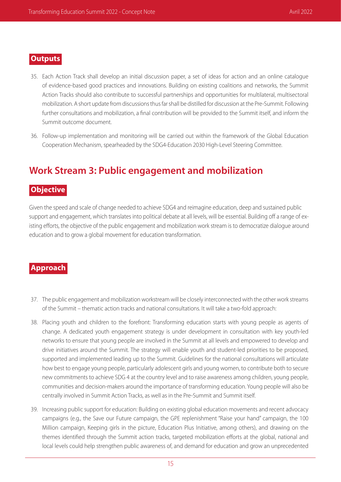#### **Outputs**

- 35. Each Action Track shall develop an initial discussion paper, a set of ideas for action and an online catalogue of evidence-based good practices and innovations. Building on existing coalitions and networks, the Summit Action Tracks should also contribute to successful partnerships and opportunities for multilateral, multisectoral mobilization. A short update from discussions thus far shall be distilled for discussion at the Pre-Summit. Following further consultations and mobilization, a final contribution will be provided to the Summit itself, and inform the Summit outcome document.
- 36. Follow-up implementation and monitoring will be carried out within the framework of the Global Education Cooperation Mechanism, spearheaded by the SDG4-Education 2030 High-Level Steering Committee.

### **Work Stream 3: Public engagement and mobilization**

### **Objective**

Given the speed and scale of change needed to achieve SDG4 and reimagine education, deep and sustained public support and engagement, which translates into political debate at all levels, will be essential. Building off a range of existing efforts, the objective of the public engagement and mobilization work stream is to democratize dialogue around education and to grow a global movement for education transformation.

#### **Approach**

- 37. The public engagement and mobilization workstream will be closely interconnected with the other work streams of the Summit – thematic action tracks and national consultations. It will take a two-fold approach:
- 38. Placing youth and children to the forefront: Transforming education starts with young people as agents of change. A dedicated youth engagement strategy is under development in consultation with key youth-led networks to ensure that young people are involved in the Summit at all levels and empowered to develop and drive initiatives around the Summit. The strategy will enable youth and student-led priorities to be proposed, supported and implemented leading up to the Summit. Guidelines for the national consultations will articulate how best to engage young people, particularly adolescent girls and young women, to contribute both to secure new commitments to achieve SDG 4 at the country level and to raise awareness among children, young people, communities and decision-makers around the importance of transforming education. Young people will also be centrally involved in Summit Action Tracks, as well as in the Pre-Summit and Summit itself.
- 39. Increasing public support for education: Building on existing global education movements and recent advocacy campaigns (e.g., the Save our Future campaign, the GPE replenishment "Raise your hand" campaign, the 100 Million campaign, Keeping girls in the picture, Education Plus Initiative, among others), and drawing on the themes identified through the Summit action tracks, targeted mobilization efforts at the global, national and local levels could help strengthen public awareness of, and demand for education and grow an unprecedented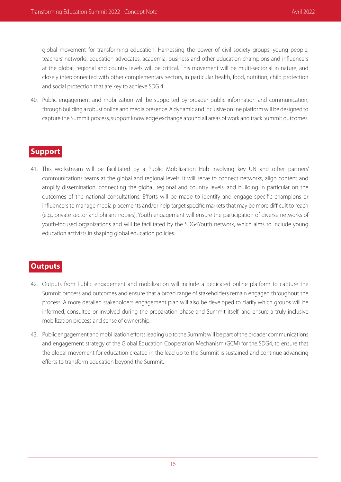global movement for transforming education. Harnessing the power of civil society groups, young people, teachers' networks, education advocates, academia, business and other education champions and influencers at the global, regional and country levels will be critical. This movement will be multi-sectorial in nature, and closely interconnected with other complementary sectors, in particular health, food, nutrition, child protection and social protection that are key to achieve SDG 4.

40. Public engagement and mobilization will be supported by broader public information and communication, through building a robust online and media presence. A dynamic and inclusive online platform will be designed to capture the Summit process, support knowledge exchange around all areas of work and track Summit outcomes.

#### **Support**

41. This workstream will be facilitated by a Public Mobilization Hub involving key UN and other partners' communications teams at the global and regional levels. It will serve to connect networks, align content and amplify dissemination, connecting the global, regional and country levels, and building in particular on the outcomes of the national consultations. Efforts will be made to identify and engage specific champions or influencers to manage media placements and/or help target specific markets that may be more difficult to reach (e.g., private sector and philanthropies). Youth engagement will ensure the participation of diverse networks of youth-focused organizations and will be facilitated by the SDG4Youth network, which aims to include young education activists in shaping global education policies.

#### **Outputs**

- 42. Outputs from Public engagement and mobilization will include a dedicated online platform to capture the Summit process and outcomes and ensure that a broad range of stakeholders remain engaged throughout the process. A more detailed stakeholders' engagement plan will also be developed to clarify which groups will be informed, consulted or involved during the preparation phase and Summit itself, and ensure a truly inclusive mobilization process and sense of ownership.
- 43. Public engagement and mobilization efforts leading up to the Summit will be part of the broader communications and engagement strategy of the Global Education Cooperation Mechanism (GCM) for the SDG4, to ensure that the global movement for education created in the lead up to the Summit is sustained and continue advancing efforts to transform education beyond the Summit.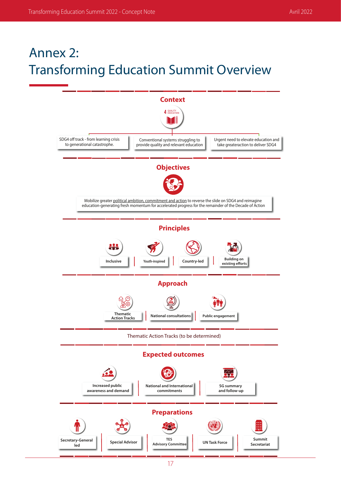# Annex 2: Transforming Education Summit Overview

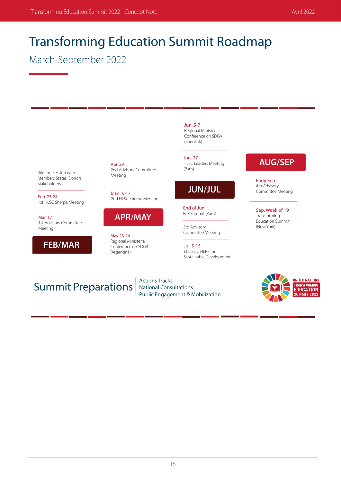# Transforming Education Summit Roadmap

### March-September 2022

Briefing Session with Members States, Donors, Stakeholders

Feb. 23-24 1st HLSC Sherpa Meeting

Mar. 17 1st Advisory Committee Meeting

### **FEB/MAR**

Apr. 29 2nd Advisory Committee Meeting

May 16-17 2nd HLSC Sherpa Meeting

### **APR/MAY**

May 23-24 Regional Ministerial Conference on SDG4 (Argentina)

#### Jun. 5-7 Regional Ministerial

Conference on SDG4 (Bangkok)

Jun. 27 **HLSC Leaders Meeting** (Paris)

### **JUN/JUL**

End of Jun Pre-Summit (Paris)

3rd Advisory Committee Meeting

Jul. 5-15 ECOSOC HLPF for Sustainable Development

### **AUG/SEP**

Early Sep. 4th Advisory Committee Meeting

Sep. Week of 19 Transforming **Education Summit** (New York)



Actions Tracks National Consultations Public Engagement & Mobilization

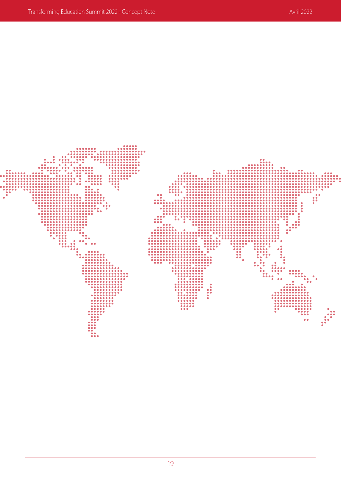